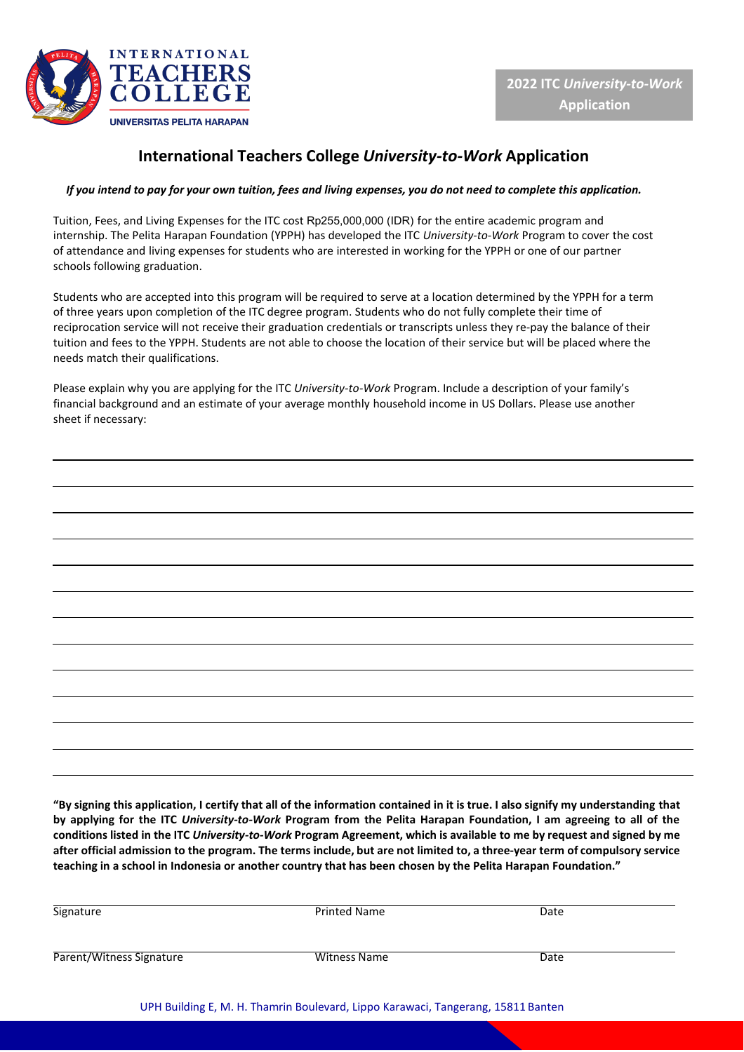

## **International Teachers College** *University-to-Work* **Application**

## *If you intend to pay for your own tuition, fees and living expenses, you do not need to complete this application.*

Tuition, Fees, and Living Expenses for the ITC cost Rp255,000,000 (IDR) for the entire academic program and internship. The Pelita Harapan Foundation (YPPH) has developed the ITC *University-to-Work* Program to cover the cost of attendance and living expenses for students who are interested in working for the YPPH or one of our partner schools following graduation.

Students who are accepted into this program will be required to serve at a location determined by the YPPH for a term of three years upon completion of the ITC degree program. Students who do not fully complete their time of reciprocation service will not receive their graduation credentials or transcripts unless they re-pay the balance of their tuition and fees to the YPPH. Students are not able to choose the location of their service but will be placed where the needs match their qualifications.

Please explain why you are applying for the ITC *University-to-Work* Program. Include a description of your family's financial background and an estimate of your average monthly household income in US Dollars. Please use another sheet if necessary:

|                                                             | ,我们也不能在这里的时候,我们也不能在这里的时候,我们也不能不能不能不能会不能不能会不能不能。""我们,我们也不能会不能会不能会不能会不能会不能会不能会不能会不                                      |  | the contract of the contract of the |
|-------------------------------------------------------------|-----------------------------------------------------------------------------------------------------------------------|--|-------------------------------------|
|                                                             |                                                                                                                       |  |                                     |
|                                                             |                                                                                                                       |  |                                     |
|                                                             | <u> 1999 - Jan Samuel Barn, september 1998 - Samuel Barn, september 1998 - Samuel Barn, september 1999 - Samuel B</u> |  |                                     |
| <u> 1989 - Johann Stoff, amerikansk politiker (d. 1989)</u> |                                                                                                                       |  |                                     |
| <u> 1989 - Andrea Andrew Maria (h. 1989).</u>               |                                                                                                                       |  |                                     |
|                                                             |                                                                                                                       |  | the control of the control of the   |
|                                                             | <u> 1989 - Andrea Santa Andrea Andrea Andrea Andrea Andrea Andrea Andrea Andrea Andrea Andrea Andrea Andrea Andr</u>  |  |                                     |
|                                                             |                                                                                                                       |  |                                     |
|                                                             |                                                                                                                       |  |                                     |
|                                                             |                                                                                                                       |  |                                     |

"By signing this application, I certify that all of the information contained in it is true. I also signify my understanding that **by applying for the ITC** *University-to-Work* **Program from the Pelita Harapan Foundation, I am agreeing to all of the** conditions listed in the ITC University-to-Work Program Agreement, which is available to me by request and signed by me after official admission to the program. The terms include, but are not limited to, a three-year term of compulsory service teaching in a school in Indonesia or another country that has been chosen by the Pelita Harapan Foundation."

| Signature                | <b>Printed Name</b> | Date |
|--------------------------|---------------------|------|
| Parent/Witness Signature | <b>Witness Name</b> | Date |